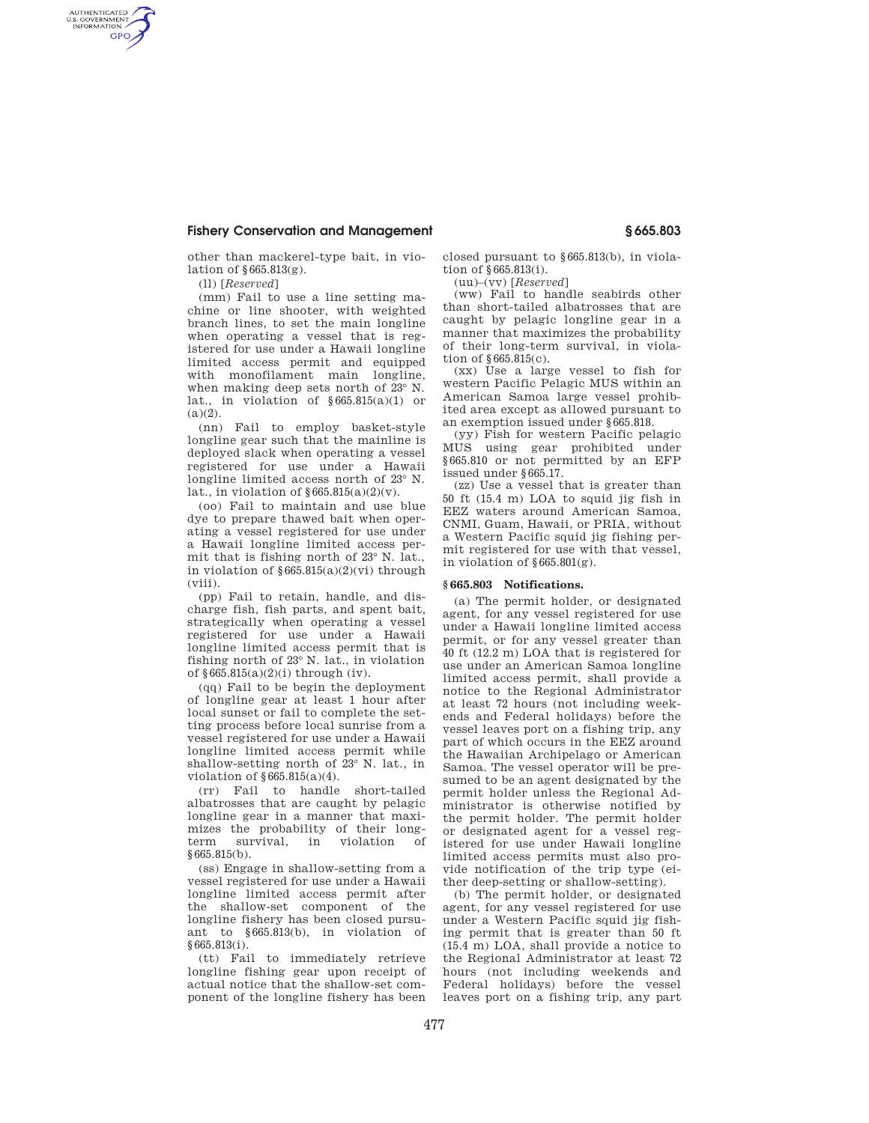## **Fishery Conservation and Management § 665.803**

other than mackerel-type bait, in violation of §665.813(g).

(ll) [*Reserved*]

AUTHENTICATED<br>U.S. GOVERNMENT<br>INFORMATION **GPO** 

> (mm) Fail to use a line setting machine or line shooter, with weighted branch lines, to set the main longline when operating a vessel that is registered for use under a Hawaii longline limited access permit and equipped with monofilament main longline, when making deep sets north of 23° N. lat., in violation of  $§665.815(a)(1)$  or  $(a)(2)$ .

> (nn) Fail to employ basket-style longline gear such that the mainline is deployed slack when operating a vessel registered for use under a Hawaii longline limited access north of 23° N. lat., in violation of  $\S 665.815(a)(2)(v)$ .

> (oo) Fail to maintain and use blue dye to prepare thawed bait when operating a vessel registered for use under a Hawaii longline limited access permit that is fishing north of 23° N. lat., in violation of §665.815(a)(2)(vi) through (viii).

> (pp) Fail to retain, handle, and discharge fish, fish parts, and spent bait, strategically when operating a vessel registered for use under a Hawaii longline limited access permit that is fishing north of 23° N. lat., in violation of  $§665.815(a)(2)(i)$  through (iv).

> (qq) Fail to be begin the deployment of longline gear at least 1 hour after local sunset or fail to complete the setting process before local sunrise from a vessel registered for use under a Hawaii longline limited access permit while shallow-setting north of 23° N. lat., in violation of §665.815(a)(4).

> (rr) Fail to handle short-tailed albatrosses that are caught by pelagic longline gear in a manner that maximizes the probability of their longterm survival, in violation of §665.815(b).

> (ss) Engage in shallow-setting from a vessel registered for use under a Hawaii longline limited access permit after the shallow-set component of the longline fishery has been closed pursuant to §665.813(b), in violation of §665.813(i).

> (tt) Fail to immediately retrieve longline fishing gear upon receipt of actual notice that the shallow-set component of the longline fishery has been

closed pursuant to §665.813(b), in violation of §665.813(i).

(uu)–(vv) [*Reserved*]

(ww) Fail to handle seabirds other than short-tailed albatrosses that are caught by pelagic longline gear in a manner that maximizes the probability of their long-term survival, in violation of §665.815(c).

(xx) Use a large vessel to fish for western Pacific Pelagic MUS within an American Samoa large vessel prohibited area except as allowed pursuant to an exemption issued under §665.818.

(yy) Fish for western Pacific pelagic MUS using gear prohibited under §665.810 or not permitted by an EFP issued under §665.17.

(zz) Use a vessel that is greater than 50 ft (15.4 m) LOA to squid jig fish in EEZ waters around American Samoa, CNMI, Guam, Hawaii, or PRIA, without a Western Pacific squid jig fishing permit registered for use with that vessel, in violation of §665.801(g).

## **§ 665.803 Notifications.**

(a) The permit holder, or designated agent, for any vessel registered for use under a Hawaii longline limited access permit, or for any vessel greater than 40 ft (12.2 m) LOA that is registered for use under an American Samoa longline limited access permit, shall provide a notice to the Regional Administrator at least 72 hours (not including weekends and Federal holidays) before the vessel leaves port on a fishing trip, any part of which occurs in the EEZ around the Hawaiian Archipelago or American Samoa. The vessel operator will be presumed to be an agent designated by the permit holder unless the Regional Administrator is otherwise notified by the permit holder. The permit holder or designated agent for a vessel registered for use under Hawaii longline limited access permits must also provide notification of the trip type (either deep-setting or shallow-setting).

(b) The permit holder, or designated agent, for any vessel registered for use under a Western Pacific squid jig fishing permit that is greater than 50 ft (15.4 m) LOA, shall provide a notice to the Regional Administrator at least 72 hours (not including weekends and Federal holidays) before the vessel leaves port on a fishing trip, any part